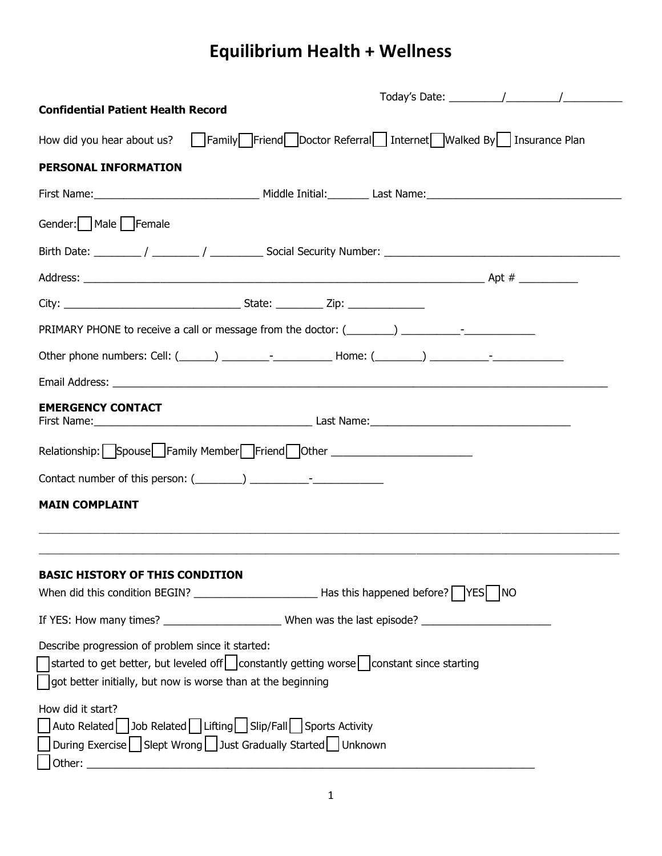# **Equilibrium Health + Wellness**

|                                                                                                                                                                                                                                     | Today's Date: $\frac{1}{\sqrt{1-\frac{1}{2}}}\left(1-\frac{1}{2}\right)$ |
|-------------------------------------------------------------------------------------------------------------------------------------------------------------------------------------------------------------------------------------|--------------------------------------------------------------------------|
| <b>Confidential Patient Health Record</b>                                                                                                                                                                                           |                                                                          |
| How did you hear about us? Family Friend Doctor Referral Internet Walked By Insurance Plan                                                                                                                                          |                                                                          |
| <b>PERSONAL INFORMATION</b>                                                                                                                                                                                                         |                                                                          |
|                                                                                                                                                                                                                                     |                                                                          |
| Gender:     Male     Female                                                                                                                                                                                                         |                                                                          |
|                                                                                                                                                                                                                                     |                                                                          |
|                                                                                                                                                                                                                                     |                                                                          |
|                                                                                                                                                                                                                                     |                                                                          |
| PRIMARY PHONE to receive a call or message from the doctor: (_______) _________-_-                                                                                                                                                  |                                                                          |
| Other phone numbers: Cell: (_____) _________-_________________Home: (________) ____________-________                                                                                                                                |                                                                          |
|                                                                                                                                                                                                                                     |                                                                          |
| <b>EMERGENCY CONTACT</b>                                                                                                                                                                                                            |                                                                          |
| Relationship: Spouse Family Member Friend Other ________________________________                                                                                                                                                    |                                                                          |
|                                                                                                                                                                                                                                     |                                                                          |
| <b>MAIN COMPLAINT</b>                                                                                                                                                                                                               |                                                                          |
| <b>BASIC HISTORY OF THIS CONDITION</b>                                                                                                                                                                                              |                                                                          |
| When did this condition BEGIN? $\_\_\_\_\_\_\_\_\_\_\$ Has this happened before? $\_\_\_\_\$ YES $\_\$ NO                                                                                                                           |                                                                          |
|                                                                                                                                                                                                                                     |                                                                          |
| Describe progression of problem since it started:<br>started to get better, but leveled off $\vert$ constantly getting worse constant since starting<br>$\vert$ got better initially, but now is worse than at the beginning        |                                                                          |
| How did it start?<br>△ Auto Related 3ob Related Lifting Slip/Fall Sports Activity<br>$\sqrt{\frac{1}{2}}$ During Exercise $\sqrt{\frac{1}{2}}$ Slept Wrong $\sqrt{\frac{1}{2}}$ Just Gradually Started $\sqrt{\frac{1}{2}}$ Unknown |                                                                          |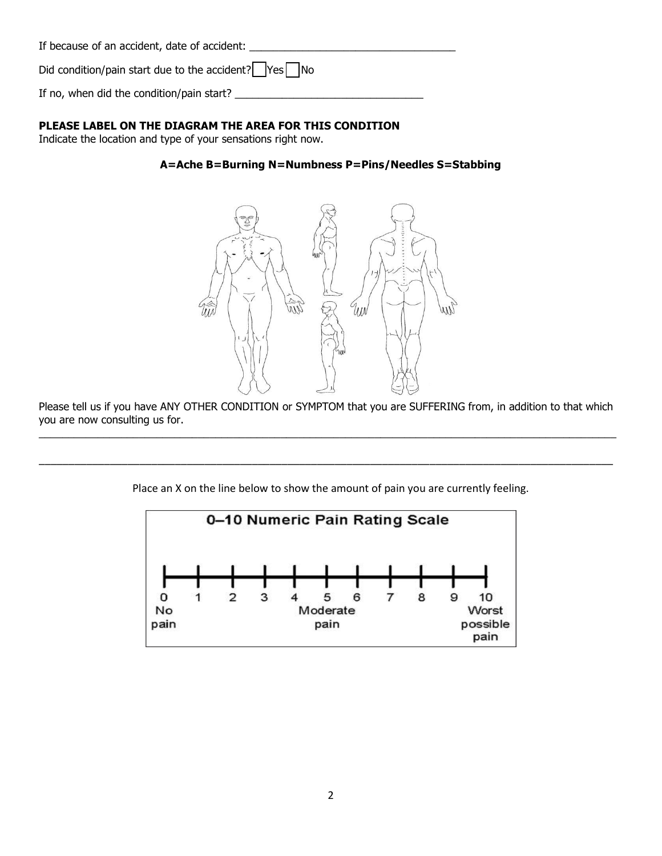| If because of an accident, date of accident:                       |  |
|--------------------------------------------------------------------|--|
| Did condition/pain start due to the accident? $\Box$ Yes $\Box$ No |  |

If no, when did the condition/pain start? \_\_\_\_\_\_\_\_\_\_\_\_\_\_\_\_\_\_\_\_\_\_\_\_\_\_\_\_\_\_\_\_

## **PLEASE LABEL ON THE DIAGRAM THE AREA FOR THIS CONDITION**

Indicate the location and type of your sensations right now.

## **A=Ache B=Burning N=Numbness P=Pins/Needles S=Stabbing**



Please tell us if you have ANY OTHER CONDITION or SYMPTOM that you are SUFFERING from, in addition to that which you are now consulting us for.  $\_$  , and the set of the set of the set of the set of the set of the set of the set of the set of the set of the set of the set of the set of the set of the set of the set of the set of the set of the set of the set of th

Place an X on the line below to show the amount of pain you are currently feeling.

\_\_\_\_\_\_\_\_\_\_\_\_\_\_\_\_\_\_\_\_\_\_\_\_\_\_\_\_\_\_\_\_\_\_\_\_\_\_\_\_\_\_\_\_\_\_\_\_\_\_\_\_\_\_\_\_\_\_\_\_\_\_\_\_\_\_\_\_\_\_\_\_\_\_\_\_\_\_\_\_\_\_\_\_\_\_\_\_\_\_\_\_\_\_\_\_\_

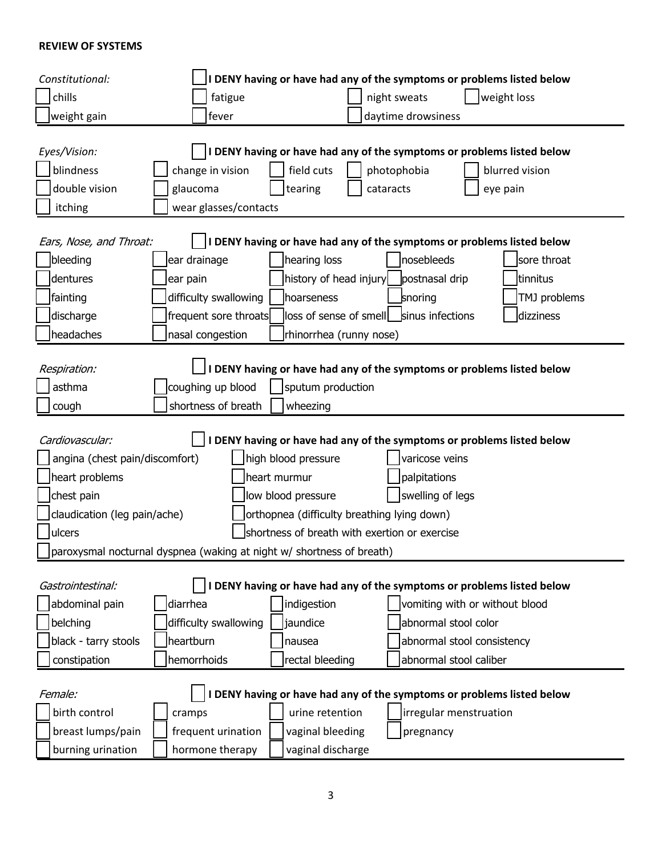### **REVIEW OF SYSTEMS**

| Constitutional:                                                        |                       |                                             | DENY having or have had any of the symptoms or problems listed below   |                |
|------------------------------------------------------------------------|-----------------------|---------------------------------------------|------------------------------------------------------------------------|----------------|
| chills                                                                 | fatigue               |                                             | night sweats                                                           | weight loss    |
| weight gain                                                            | fever                 |                                             | daytime drowsiness                                                     |                |
|                                                                        |                       |                                             |                                                                        |                |
| Eyes/Vision:                                                           |                       |                                             | I DENY having or have had any of the symptoms or problems listed below |                |
| blindness                                                              | change in vision      | field cuts                                  | photophobia                                                            | blurred vision |
| double vision                                                          | glaucoma              | tearing                                     | cataracts                                                              | eye pain       |
| itching                                                                | wear glasses/contacts |                                             |                                                                        |                |
|                                                                        |                       |                                             |                                                                        |                |
| Ears, Nose, and Throat:                                                |                       |                                             | I DENY having or have had any of the symptoms or problems listed below |                |
| bleeding                                                               | ear drainage          | hearing loss                                | nosebleeds                                                             | sore throat    |
| dentures                                                               | ear pain              | history of head injury                      | postnasal drip                                                         | tinnitus       |
| fainting                                                               | difficulty swallowing | hoarseness                                  | snoring                                                                | TMJ problems   |
| discharge                                                              | frequent sore throats | loss of sense of smell sinus infections     |                                                                        | dizziness      |
| headaches                                                              | nasal congestion      | rhinorrhea (runny nose)                     |                                                                        |                |
|                                                                        |                       |                                             |                                                                        |                |
| Respiration:                                                           |                       |                                             | I DENY having or have had any of the symptoms or problems listed below |                |
| asthma                                                                 | coughing up blood     | sputum production                           |                                                                        |                |
| cough                                                                  | shortness of breath   | wheezing                                    |                                                                        |                |
| Cardiovascular:                                                        |                       |                                             | I DENY having or have had any of the symptoms or problems listed below |                |
| angina (chest pain/discomfort)                                         |                       | high blood pressure                         | varicose veins                                                         |                |
| heart problems                                                         |                       | heart murmur                                | palpitations                                                           |                |
| chest pain                                                             |                       | low blood pressure                          | swelling of legs                                                       |                |
| claudication (leg pain/ache)                                           |                       | orthopnea (difficulty breathing lying down) |                                                                        |                |
| shortness of breath with exertion or exercise<br>ulcers                |                       |                                             |                                                                        |                |
| Jparoxysmal nocturnal dyspnea (waking at night w/ shortness of breath) |                       |                                             |                                                                        |                |
|                                                                        |                       |                                             |                                                                        |                |
| Gastrointestinal:                                                      |                       |                                             | I DENY having or have had any of the symptoms or problems listed below |                |
| abdominal pain                                                         | diarrhea              | indigestion                                 | vomiting with or without blood                                         |                |
| belching                                                               | difficulty swallowing | jaundice                                    | abnormal stool color                                                   |                |
| black - tarry stools                                                   | heartburn             | nausea                                      | abnormal stool consistency                                             |                |
| constipation                                                           | hemorrhoids           | rectal bleeding                             | abnormal stool caliber                                                 |                |
|                                                                        |                       |                                             |                                                                        |                |
| Female:                                                                |                       |                                             | I DENY having or have had any of the symptoms or problems listed below |                |
| birth control                                                          | cramps                | urine retention                             | irregular menstruation                                                 |                |
| breast lumps/pain                                                      | frequent urination    | vaginal bleeding                            | pregnancy                                                              |                |
| burning urination                                                      | hormone therapy       | vaginal discharge                           |                                                                        |                |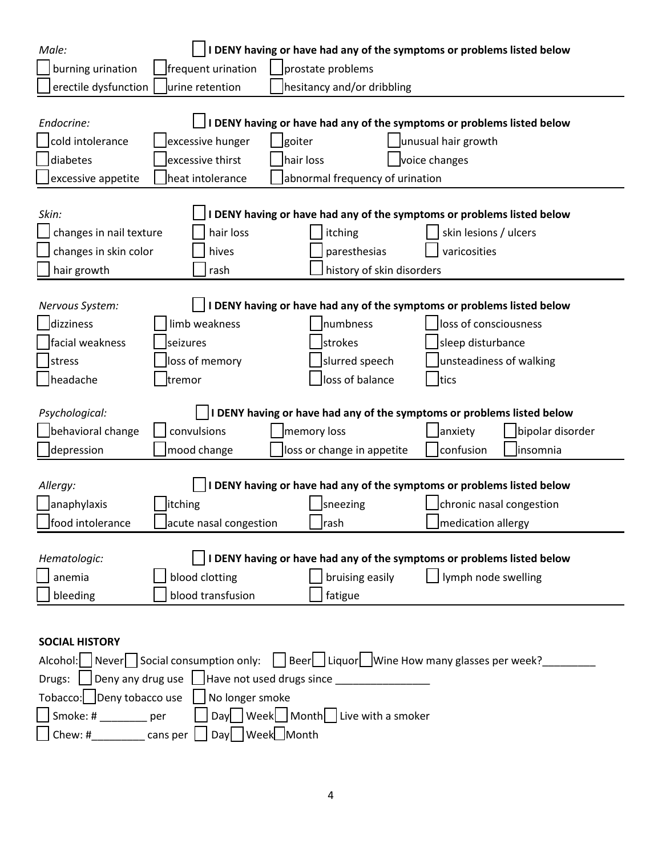| Male:                                                                                                        |                                                                         |                            |                                         | DENY having or have had any of the symptoms or problems listed below   |
|--------------------------------------------------------------------------------------------------------------|-------------------------------------------------------------------------|----------------------------|-----------------------------------------|------------------------------------------------------------------------|
| burning urination                                                                                            | frequent urination                                                      | prostate problems          |                                         |                                                                        |
| erectile dysfunction                                                                                         | urine retention                                                         | hesitancy and/or dribbling |                                         |                                                                        |
|                                                                                                              |                                                                         |                            |                                         |                                                                        |
| Endocrine:                                                                                                   |                                                                         |                            |                                         | I DENY having or have had any of the symptoms or problems listed below |
| cold intolerance                                                                                             | excessive hunger                                                        | goiter                     |                                         | unusual hair growth                                                    |
| diabetes                                                                                                     | excessive thirst                                                        | hair loss                  |                                         | voice changes                                                          |
| excessive appetite                                                                                           | heat intolerance                                                        |                            | abnormal frequency of urination         |                                                                        |
|                                                                                                              |                                                                         |                            |                                         |                                                                        |
| Skin:                                                                                                        |                                                                         |                            |                                         | DENY having or have had any of the symptoms or problems listed below   |
| changes in nail texture                                                                                      | hair loss                                                               |                            | itching                                 | skin lesions / ulcers                                                  |
| changes in skin color                                                                                        | hives                                                                   |                            | paresthesias                            | varicosities                                                           |
| hair growth                                                                                                  | rash                                                                    |                            | history of skin disorders               |                                                                        |
|                                                                                                              |                                                                         |                            |                                         |                                                                        |
| Nervous System:                                                                                              |                                                                         |                            |                                         | DENY having or have had any of the symptoms or problems listed below   |
| dizziness                                                                                                    | limb weakness                                                           |                            | numbness                                | loss of consciousness                                                  |
| facial weakness                                                                                              | seizures                                                                |                            | strokes                                 | sleep disturbance                                                      |
| stress                                                                                                       | loss of memory                                                          |                            | slurred speech                          | unsteadiness of walking                                                |
| headache                                                                                                     | tremor                                                                  |                            | loss of balance                         | tics                                                                   |
|                                                                                                              |                                                                         |                            |                                         |                                                                        |
| Psychological:                                                                                               |                                                                         |                            |                                         | I DENY having or have had any of the symptoms or problems listed below |
| behavioral change                                                                                            | convulsions                                                             |                            | memory loss                             | Janxiety<br>bipolar disorder                                           |
| depression                                                                                                   | mood change                                                             |                            | loss or change in appetite              | confusion<br>insomnia                                                  |
|                                                                                                              |                                                                         |                            |                                         |                                                                        |
| Allergy:                                                                                                     |                                                                         |                            |                                         | DENY having or have had any of the symptoms or problems listed below   |
| Janaphylaxis                                                                                                 | itching                                                                 |                            | sneezing                                | chronic nasal congestion                                               |
| food intolerance                                                                                             | acute nasal congestion                                                  |                            | rash                                    | medication allergy                                                     |
|                                                                                                              |                                                                         |                            |                                         |                                                                        |
| Hematologic:                                                                                                 |                                                                         |                            |                                         | I DENY having or have had any of the symptoms or problems listed below |
| anemia                                                                                                       | blood clotting                                                          |                            | bruising easily                         | lymph node swelling                                                    |
| bleeding                                                                                                     | blood transfusion                                                       |                            | fatigue                                 |                                                                        |
|                                                                                                              |                                                                         |                            |                                         |                                                                        |
|                                                                                                              |                                                                         |                            |                                         |                                                                        |
| <b>SOCIAL HISTORY</b><br>Alcohol: Never Social consumption only: Beer Liquor Wine How many glasses per week? |                                                                         |                            |                                         |                                                                        |
|                                                                                                              |                                                                         |                            |                                         |                                                                        |
|                                                                                                              |                                                                         |                            |                                         |                                                                        |
|                                                                                                              | Drugs: $\Box$ Deny any drug use $\Box$ Have not used drugs since $\Box$ |                            |                                         |                                                                        |
|                                                                                                              | Tobacco: JDeny tobacco use   No longer smoke                            |                            |                                         |                                                                        |
| Smoke: # per<br>Chew: # $\frac{1}{\sqrt{2}}$ cans per $\Box$                                                 | Day Week Month                                                          |                            | Day   Week   Month   Live with a smoker |                                                                        |